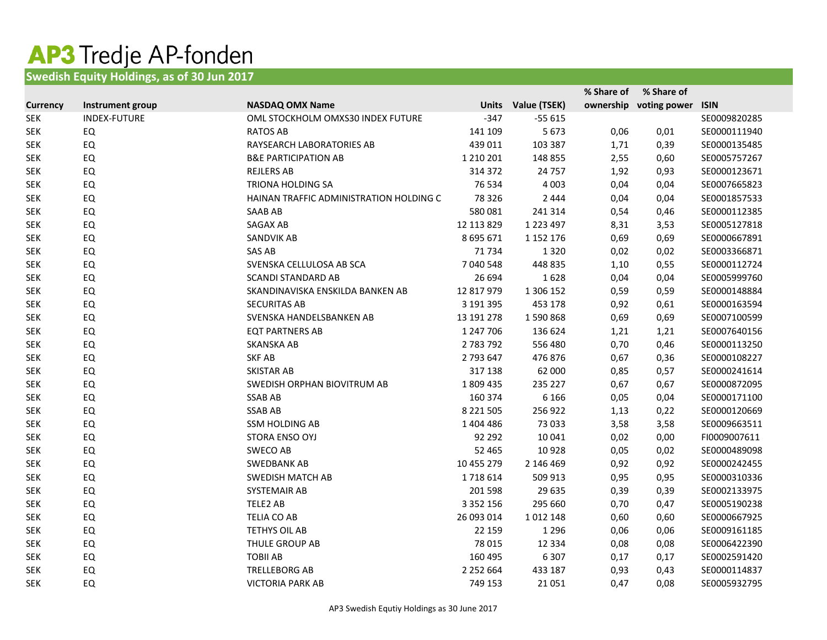## AP3 Tredje AP-fonden

## **Swedish Equity Holdings, as of 30 Jun 2017**

|                 |                     |                                         |               |                    | % Share of | % Share of             |              |
|-----------------|---------------------|-----------------------------------------|---------------|--------------------|------------|------------------------|--------------|
| <b>Currency</b> | Instrument group    | <b>NASDAQ OMX Name</b>                  |               | Units Value (TSEK) |            | ownership voting power | <b>ISIN</b>  |
| <b>SEK</b>      | <b>INDEX-FUTURE</b> | OML STOCKHOLM OMXS30 INDEX FUTURE       | $-347$        | $-55615$           |            |                        | SE0009820285 |
| <b>SEK</b>      | EQ                  | <b>RATOS AB</b>                         | 141 109       | 5673               | 0,06       | 0,01                   | SE0000111940 |
| <b>SEK</b>      | EQ                  | RAYSEARCH LABORATORIES AB               | 439 011       | 103 387            | 1,71       | 0,39                   | SE0000135485 |
| <b>SEK</b>      | EQ                  | <b>B&amp;E PARTICIPATION AB</b>         | 1 2 1 0 2 0 1 | 148 855            | 2,55       | 0,60                   | SE0005757267 |
| <b>SEK</b>      | EQ                  | <b>REJLERS AB</b>                       | 314 372       | 24 757             | 1,92       | 0,93                   | SE0000123671 |
| <b>SEK</b>      | EQ                  | <b>TRIONA HOLDING SA</b>                | 76 534        | 4 0 0 3            | 0,04       | 0,04                   | SE0007665823 |
| <b>SEK</b>      | EQ                  | HAINAN TRAFFIC ADMINISTRATION HOLDING C | 78 3 26       | 2 4 4 4            | 0,04       | 0,04                   | SE0001857533 |
| <b>SEK</b>      | EQ                  | <b>SAAB AB</b>                          | 580 081       | 241 314            | 0,54       | 0,46                   | SE0000112385 |
| <b>SEK</b>      | EQ                  | SAGAX AB                                | 12 113 829    | 1 2 2 3 4 9 7      | 8,31       | 3,53                   | SE0005127818 |
| <b>SEK</b>      | EQ                  | SANDVIK AB                              | 8 695 671     | 1 1 5 2 1 7 6      | 0,69       | 0,69                   | SE0000667891 |
| <b>SEK</b>      | EQ                  | SAS AB                                  | 71 734        | 1320               | 0,02       | 0,02                   | SE0003366871 |
| <b>SEK</b>      | EQ                  | SVENSKA CELLULOSA AB SCA                | 7 040 548     | 448 835            | 1,10       | 0,55                   | SE0000112724 |
| <b>SEK</b>      | EQ                  | <b>SCANDI STANDARD AB</b>               | 26 694        | 1628               | 0,04       | 0,04                   | SE0005999760 |
| <b>SEK</b>      | EQ                  | SKANDINAVISKA ENSKILDA BANKEN AB        | 12 817 979    | 1 306 152          | 0,59       | 0,59                   | SE0000148884 |
| <b>SEK</b>      | EQ                  | <b>SECURITAS AB</b>                     | 3 191 395     | 453 178            | 0,92       | 0,61                   | SE0000163594 |
| <b>SEK</b>      | EQ                  | SVENSKA HANDELSBANKEN AB                | 13 191 278    | 1590868            | 0,69       | 0,69                   | SE0007100599 |
| <b>SEK</b>      | EQ                  | <b>EQT PARTNERS AB</b>                  | 1 247 706     | 136 624            | 1,21       | 1,21                   | SE0007640156 |
| <b>SEK</b>      | EQ                  | SKANSKA AB                              | 2783792       | 556 480            | 0,70       | 0,46                   | SE0000113250 |
| <b>SEK</b>      | EQ                  | <b>SKF AB</b>                           | 2 793 647     | 476 876            | 0,67       | 0,36                   | SE0000108227 |
| <b>SEK</b>      | EQ                  | <b>SKISTAR AB</b>                       | 317 138       | 62 000             | 0,85       | 0,57                   | SE0000241614 |
| <b>SEK</b>      | EQ                  | SWEDISH ORPHAN BIOVITRUM AB             | 1809435       | 235 227            | 0,67       | 0,67                   | SE0000872095 |
| <b>SEK</b>      | EQ                  | <b>SSAB AB</b>                          | 160 374       | 6 1 6 6            | 0,05       | 0,04                   | SE0000171100 |
| <b>SEK</b>      | EQ                  | <b>SSAB AB</b>                          | 8 2 2 1 5 0 5 | 256 922            | 1,13       | 0,22                   | SE0000120669 |
| <b>SEK</b>      | EQ                  | <b>SSM HOLDING AB</b>                   | 1 404 486     | 73 033             | 3,58       | 3,58                   | SE0009663511 |
| <b>SEK</b>      | EQ                  | STORA ENSO OYJ                          | 92 292        | 10 041             | 0,02       | 0,00                   | FI0009007611 |
| <b>SEK</b>      | EQ                  | SWECO AB                                | 52 465        | 10928              | 0,05       | 0,02                   | SE0000489098 |
| <b>SEK</b>      | EQ                  | <b>SWEDBANK AB</b>                      | 10 455 279    | 2 146 469          | 0,92       | 0,92                   | SE0000242455 |
| <b>SEK</b>      | EQ                  | <b>SWEDISH MATCH AB</b>                 | 1718614       | 509 913            | 0,95       | 0,95                   | SE0000310336 |
| <b>SEK</b>      | EQ                  | SYSTEMAIR AB                            | 201 598       | 29 635             | 0,39       | 0,39                   | SE0002133975 |
| <b>SEK</b>      | EQ                  | TELE2 AB                                | 3 3 5 2 1 5 6 | 295 660            | 0,70       | 0,47                   | SE0005190238 |
| <b>SEK</b>      | EQ                  | TELIA CO AB                             | 26 093 014    | 1012148            | 0,60       | 0,60                   | SE0000667925 |
| <b>SEK</b>      | EQ                  | TETHYS OIL AB                           | 22 159        | 1 2 9 6            | 0,06       | 0,06                   | SE0009161185 |
| <b>SEK</b>      | EQ                  | THULE GROUP AB                          | 78 015        | 12 3 34            | 0,08       | 0,08                   | SE0006422390 |
| <b>SEK</b>      | EQ                  | <b>TOBII AB</b>                         | 160 495       | 6 3 0 7            | 0,17       | 0,17                   | SE0002591420 |
| <b>SEK</b>      | EQ                  | <b>TRELLEBORG AB</b>                    | 2 2 5 2 6 6 4 | 433 187            | 0,93       | 0,43                   | SE0000114837 |
| <b>SEK</b>      | EQ                  | <b>VICTORIA PARK AB</b>                 | 749 153       | 21 0 51            | 0,47       | 0,08                   | SE0005932795 |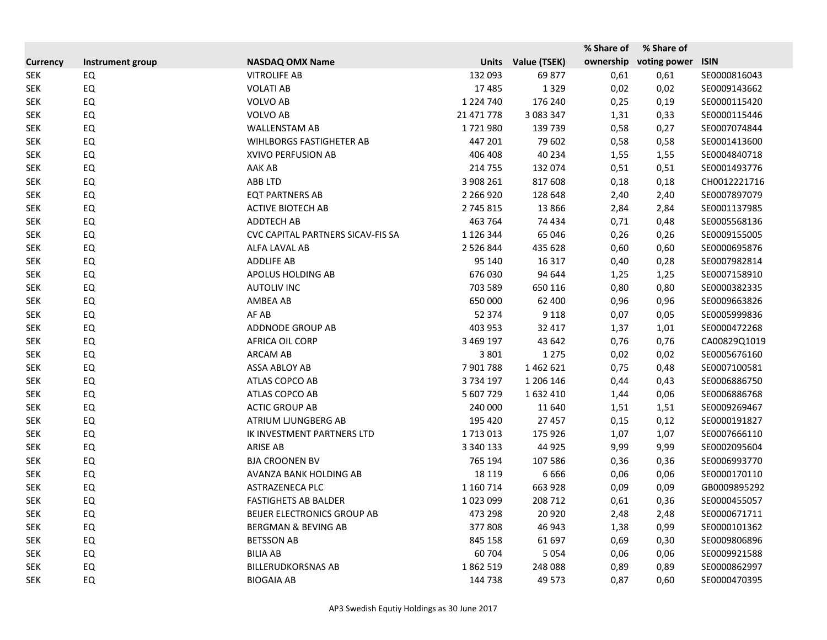|                 |                  |                                   |               |              | % Share of | % Share of   |              |
|-----------------|------------------|-----------------------------------|---------------|--------------|------------|--------------|--------------|
| <b>Currency</b> | Instrument group | <b>NASDAQ OMX Name</b>            | <b>Units</b>  | Value (TSEK) | ownership  | voting power | <b>ISIN</b>  |
| <b>SEK</b>      | EQ               | <b>VITROLIFE AB</b>               | 132 093       | 69877        | 0,61       | 0,61         | SE0000816043 |
| <b>SEK</b>      | EQ               | <b>VOLATI AB</b>                  | 17 485        | 1329         | 0,02       | 0,02         | SE0009143662 |
| <b>SEK</b>      | EQ               | <b>VOLVO AB</b>                   | 1 2 2 4 7 4 0 | 176 240      | 0,25       | 0,19         | SE0000115420 |
| <b>SEK</b>      | EQ               | <b>VOLVO AB</b>                   | 21 471 778    | 3 083 347    | 1,31       | 0,33         | SE0000115446 |
| <b>SEK</b>      | EQ               | <b>WALLENSTAM AB</b>              | 1721980       | 139 739      | 0,58       | 0,27         | SE0007074844 |
| <b>SEK</b>      | EQ               | <b>WIHLBORGS FASTIGHETER AB</b>   | 447 201       | 79 602       | 0,58       | 0,58         | SE0001413600 |
| <b>SEK</b>      | EQ               | XVIVO PERFUSION AB                | 406 408       | 40 234       | 1,55       | 1,55         | SE0004840718 |
| <b>SEK</b>      | EQ               | AAK AB                            | 214 755       | 132 074      | 0,51       | 0,51         | SE0001493776 |
| <b>SEK</b>      | EQ               | <b>ABB LTD</b>                    | 3 908 261     | 817 608      | 0,18       | 0,18         | CH0012221716 |
| <b>SEK</b>      | EQ               | <b>EQT PARTNERS AB</b>            | 2 2 6 9 2 0   | 128 648      | 2,40       | 2,40         | SE0007897079 |
| <b>SEK</b>      | EQ               | <b>ACTIVE BIOTECH AB</b>          | 2 745 815     | 13866        | 2,84       | 2,84         | SE0001137985 |
| <b>SEK</b>      | EQ               | ADDTECH AB                        | 463 764       | 74 434       | 0,71       | 0,48         | SE0005568136 |
| <b>SEK</b>      | EQ               | CVC CAPITAL PARTNERS SICAV-FIS SA | 1 1 2 6 3 4 4 | 65 046       | 0,26       | 0,26         | SE0009155005 |
| <b>SEK</b>      | EQ               | ALFA LAVAL AB                     | 2 5 2 6 8 4 4 | 435 628      | 0,60       | 0,60         | SE0000695876 |
| <b>SEK</b>      | EQ               | <b>ADDLIFE AB</b>                 | 95 140        | 16 3 17      | 0,40       | 0,28         | SE0007982814 |
| <b>SEK</b>      | EQ               | APOLUS HOLDING AB                 | 676 030       | 94 644       | 1,25       | 1,25         | SE0007158910 |
| <b>SEK</b>      | EQ               | <b>AUTOLIV INC</b>                | 703 589       | 650 116      | 0,80       | 0,80         | SE0000382335 |
| <b>SEK</b>      | EQ               | AMBEA AB                          | 650 000       | 62 400       | 0,96       | 0,96         | SE0009663826 |
| <b>SEK</b>      | EQ               | AF AB                             | 52 374        | 9 1 1 8      | 0,07       | 0,05         | SE0005999836 |
| <b>SEK</b>      | EQ               | ADDNODE GROUP AB                  | 403 953       | 32 417       | 1,37       | 1,01         | SE0000472268 |
| <b>SEK</b>      | EQ               | AFRICA OIL CORP                   | 3 469 197     | 43 642       | 0,76       | 0,76         | CA00829Q1019 |
| <b>SEK</b>      | EQ               | <b>ARCAM AB</b>                   | 3 8 0 1       | 1 2 7 5      | 0,02       | 0,02         | SE0005676160 |
| <b>SEK</b>      | EQ               | ASSA ABLOY AB                     | 7901788       | 1462621      | 0,75       | 0,48         | SE0007100581 |
| <b>SEK</b>      | EQ               | ATLAS COPCO AB                    | 3734197       | 1 206 146    | 0,44       | 0,43         | SE0006886750 |
| <b>SEK</b>      | EQ               | ATLAS COPCO AB                    | 5 607 729     | 1632410      | 1,44       | 0,06         | SE0006886768 |
| <b>SEK</b>      | EQ               | <b>ACTIC GROUP AB</b>             | 240 000       | 11 640       | 1,51       | 1,51         | SE0009269467 |
| <b>SEK</b>      | EQ               | ATRIUM LJUNGBERG AB               | 195 420       | 27 457       | 0,15       | 0,12         | SE0000191827 |
| <b>SEK</b>      | EQ               | IK INVESTMENT PARTNERS LTD        | 1713013       | 175 926      | 1,07       | 1,07         | SE0007666110 |
| <b>SEK</b>      | EQ               | <b>ARISE AB</b>                   | 3 340 133     | 44 9 25      | 9,99       | 9,99         | SE0002095604 |
| <b>SEK</b>      | EQ               | <b>BJA CROONEN BV</b>             | 765 194       | 107 586      | 0,36       | 0,36         | SE0006993770 |
| <b>SEK</b>      | EQ               | AVANZA BANK HOLDING AB            | 18 119        | 6666         | 0,06       | 0,06         | SE0000170110 |
| <b>SEK</b>      | EQ               | ASTRAZENECA PLC                   | 1 160 7 14    | 663 928      | 0,09       | 0,09         | GB0009895292 |
| <b>SEK</b>      | EQ               | <b>FASTIGHETS AB BALDER</b>       | 1023099       | 208 712      | 0,61       | 0,36         | SE0000455057 |
| <b>SEK</b>      | EQ               | BEIJER ELECTRONICS GROUP AB       | 473 298       | 20 9 20      | 2,48       | 2,48         | SE0000671711 |
| <b>SEK</b>      | EQ               | <b>BERGMAN &amp; BEVING AB</b>    | 377808        | 46 943       | 1,38       | 0,99         | SE0000101362 |
| <b>SEK</b>      | EQ               | <b>BETSSON AB</b>                 | 845 158       | 61 697       | 0,69       | 0,30         | SE0009806896 |
| <b>SEK</b>      | EQ               | <b>BILIA AB</b>                   | 60 704        | 5 0 5 4      | 0,06       | 0,06         | SE0009921588 |
| <b>SEK</b>      | EQ               | <b>BILLERUDKORSNAS AB</b>         | 1862519       | 248 088      | 0,89       | 0,89         | SE0000862997 |
| <b>SEK</b>      | EQ               | <b>BIOGAIA AB</b>                 | 144 738       | 49 573       | 0,87       | 0,60         | SE0000470395 |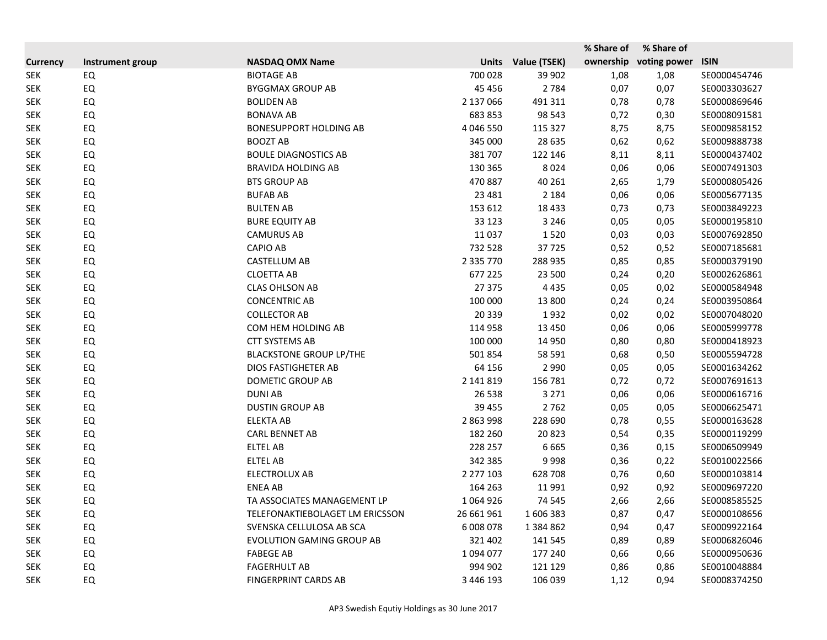|                 |                  |                                  |               |              | % Share of | % Share of   |              |
|-----------------|------------------|----------------------------------|---------------|--------------|------------|--------------|--------------|
| <b>Currency</b> | Instrument group | <b>NASDAQ OMX Name</b>           | <b>Units</b>  | Value (TSEK) | ownership  | voting power | <b>ISIN</b>  |
| <b>SEK</b>      | EQ               | <b>BIOTAGE AB</b>                | 700 028       | 39 902       | 1,08       | 1,08         | SE0000454746 |
| <b>SEK</b>      | EQ               | <b>BYGGMAX GROUP AB</b>          | 45 4 5 6      | 2 7 8 4      | 0,07       | 0,07         | SE0003303627 |
| <b>SEK</b>      | EQ               | <b>BOLIDEN AB</b>                | 2 137 066     | 491 311      | 0,78       | 0,78         | SE0000869646 |
| <b>SEK</b>      | EQ               | <b>BONAVA AB</b>                 | 683 853       | 98 543       | 0,72       | 0,30         | SE0008091581 |
| <b>SEK</b>      | EQ               | <b>BONESUPPORT HOLDING AB</b>    | 4 046 550     | 115 327      | 8,75       | 8,75         | SE0009858152 |
| <b>SEK</b>      | EQ               | <b>BOOZT AB</b>                  | 345 000       | 28 6 35      | 0,62       | 0,62         | SE0009888738 |
| <b>SEK</b>      | EQ               | <b>BOULE DIAGNOSTICS AB</b>      | 381707        | 122 146      | 8,11       | 8,11         | SE0000437402 |
| <b>SEK</b>      | EQ               | <b>BRAVIDA HOLDING AB</b>        | 130 365       | 8024         | 0,06       | 0,06         | SE0007491303 |
| <b>SEK</b>      | EQ               | <b>BTS GROUP AB</b>              | 470 887       | 40 261       | 2,65       | 1,79         | SE0000805426 |
| <b>SEK</b>      | EQ               | <b>BUFAB AB</b>                  | 23 4 8 1      | 2 1 8 4      | 0,06       | 0,06         | SE0005677135 |
| <b>SEK</b>      | EQ               | <b>BULTEN AB</b>                 | 153 612       | 18 4 33      | 0,73       | 0,73         | SE0003849223 |
| <b>SEK</b>      | EQ               | <b>BURE EQUITY AB</b>            | 33 1 23       | 3 2 4 6      | 0,05       | 0,05         | SE0000195810 |
| <b>SEK</b>      | EQ               | <b>CAMURUS AB</b>                | 11 0 37       | 1520         | 0,03       | 0,03         | SE0007692850 |
| <b>SEK</b>      | EQ               | <b>CAPIO AB</b>                  | 732 528       | 37725        | 0,52       | 0,52         | SE0007185681 |
| <b>SEK</b>      | EQ               | CASTELLUM AB                     | 2 3 3 7 7 7 0 | 288 935      | 0,85       | 0,85         | SE0000379190 |
| <b>SEK</b>      | EQ               | <b>CLOETTA AB</b>                | 677 225       | 23 500       | 0,24       | 0,20         | SE0002626861 |
| <b>SEK</b>      | EQ               | <b>CLAS OHLSON AB</b>            | 27 375        | 4 4 3 5      | 0,05       | 0,02         | SE0000584948 |
| <b>SEK</b>      | EQ               | <b>CONCENTRIC AB</b>             | 100 000       | 13 800       | 0,24       | 0,24         | SE0003950864 |
| <b>SEK</b>      | EQ               | <b>COLLECTOR AB</b>              | 20 339        | 1932         | 0,02       | 0,02         | SE0007048020 |
| <b>SEK</b>      | EQ               | COM HEM HOLDING AB               | 114 958       | 13 4 50      | 0,06       | 0,06         | SE0005999778 |
| <b>SEK</b>      | EQ               | <b>CTT SYSTEMS AB</b>            | 100 000       | 14 9 50      | 0,80       | 0,80         | SE0000418923 |
| <b>SEK</b>      | EQ               | <b>BLACKSTONE GROUP LP/THE</b>   | 501 854       | 58 591       | 0,68       | 0,50         | SE0005594728 |
| <b>SEK</b>      | EQ               | <b>DIOS FASTIGHETER AB</b>       | 64 15 6       | 2 9 9 0      | 0,05       | 0,05         | SE0001634262 |
| <b>SEK</b>      | EQ               | DOMETIC GROUP AB                 | 2 141 819     | 156 781      | 0,72       | 0,72         | SE0007691613 |
| <b>SEK</b>      | EQ               | <b>DUNIAB</b>                    | 26 538        | 3 2 7 1      | 0,06       | 0,06         | SE0000616716 |
| <b>SEK</b>      | EQ               | <b>DUSTIN GROUP AB</b>           | 39 455        | 2762         | 0,05       | 0,05         | SE0006625471 |
| <b>SEK</b>      | EQ               | <b>ELEKTA AB</b>                 | 2 863 998     | 228 690      | 0,78       | 0,55         | SE0000163628 |
| <b>SEK</b>      | EQ               | <b>CARL BENNET AB</b>            | 182 260       | 20823        | 0,54       | 0,35         | SE0000119299 |
| <b>SEK</b>      | EQ               | <b>ELTEL AB</b>                  | 228 257       | 6665         | 0,36       | 0,15         | SE0006509949 |
| <b>SEK</b>      | EQ               | <b>ELTEL AB</b>                  | 342 385       | 9998         | 0,36       | 0,22         | SE0010022566 |
| <b>SEK</b>      | EQ               | <b>ELECTROLUX AB</b>             | 2 277 103     | 628708       | 0,76       | 0,60         | SE0000103814 |
| <b>SEK</b>      | EQ               | <b>ENEA AB</b>                   | 164 263       | 11991        | 0,92       | 0,92         | SE0009697220 |
| <b>SEK</b>      | EQ               | TA ASSOCIATES MANAGEMENT LP      | 1064926       | 74 545       | 2,66       | 2,66         | SE0008585525 |
| <b>SEK</b>      | EQ               | TELEFONAKTIEBOLAGET LM ERICSSON  | 26 661 961    | 1606383      | 0,87       | 0,47         | SE0000108656 |
| <b>SEK</b>      | EQ               | SVENSKA CELLULOSA AB SCA         | 6 008 078     | 1 384 862    | 0,94       | 0,47         | SE0009922164 |
| <b>SEK</b>      | EQ               | <b>EVOLUTION GAMING GROUP AB</b> | 321 402       | 141 545      | 0,89       | 0,89         | SE0006826046 |
| <b>SEK</b>      | EQ               | <b>FABEGE AB</b>                 | 1094077       | 177 240      | 0,66       | 0,66         | SE0000950636 |
| <b>SEK</b>      | EQ               | <b>FAGERHULT AB</b>              | 994 902       | 121 129      | 0,86       | 0,86         | SE0010048884 |
| <b>SEK</b>      | EQ               | FINGERPRINT CARDS AB             | 3 446 193     | 106 039      | 1,12       | 0,94         | SE0008374250 |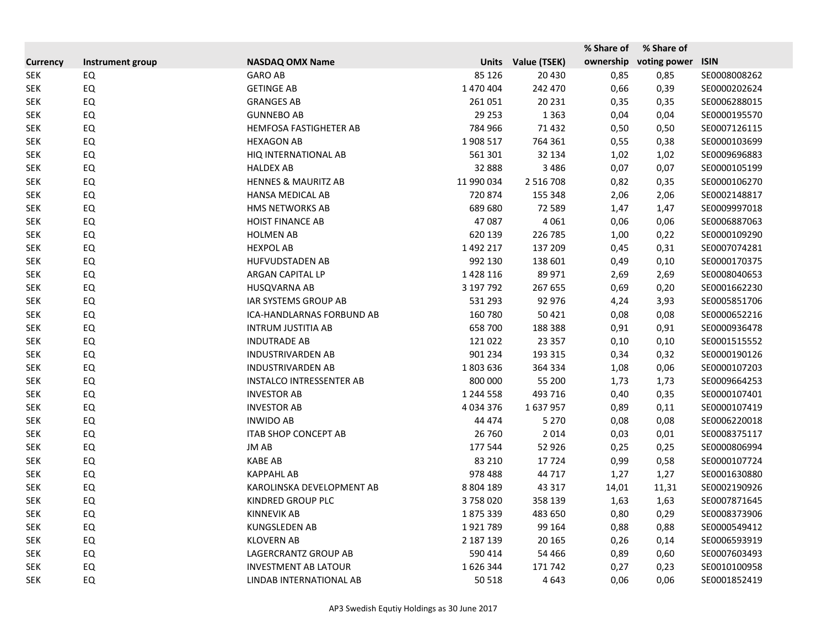|                 |                  |                                 |               |               | % Share of | % Share of   |              |
|-----------------|------------------|---------------------------------|---------------|---------------|------------|--------------|--------------|
| <b>Currency</b> | Instrument group | <b>NASDAQ OMX Name</b>          | <b>Units</b>  | Value (TSEK)  | ownership  | voting power | <b>ISIN</b>  |
| <b>SEK</b>      | EQ               | <b>GARO AB</b>                  | 85 1 26       | 20 4 30       | 0,85       | 0,85         | SE0008008262 |
| <b>SEK</b>      | EQ               | <b>GETINGE AB</b>               | 1 470 404     | 242 470       | 0,66       | 0,39         | SE0000202624 |
| <b>SEK</b>      | EQ               | <b>GRANGES AB</b>               | 261 051       | 20 231        | 0,35       | 0,35         | SE0006288015 |
| <b>SEK</b>      | EQ               | <b>GUNNEBO AB</b>               | 29 25 3       | 1 3 6 3       | 0,04       | 0,04         | SE0000195570 |
| <b>SEK</b>      | EQ               | HEMFOSA FASTIGHETER AB          | 784 966       | 71 4 32       | 0,50       | 0,50         | SE0007126115 |
| <b>SEK</b>      | EQ               | <b>HEXAGON AB</b>               | 1908 517      | 764 361       | 0,55       | 0,38         | SE0000103699 |
| <b>SEK</b>      | EQ               | HIQ INTERNATIONAL AB            | 561 301       | 32 134        | 1,02       | 1,02         | SE0009696883 |
| <b>SEK</b>      | EQ               | <b>HALDEX AB</b>                | 32 888        | 3 4 8 6       | 0,07       | 0,07         | SE0000105199 |
| <b>SEK</b>      | EQ               | <b>HENNES &amp; MAURITZ AB</b>  | 11 990 034    | 2 5 1 6 7 0 8 | 0,82       | 0,35         | SE0000106270 |
| <b>SEK</b>      | EQ               | HANSA MEDICAL AB                | 720 874       | 155 348       | 2,06       | 2,06         | SE0002148817 |
| <b>SEK</b>      | EQ               | HMS NETWORKS AB                 | 689 680       | 72 589        | 1,47       | 1,47         | SE0009997018 |
| <b>SEK</b>      | EQ               | <b>HOIST FINANCE AB</b>         | 47 087        | 4 0 6 1       | 0,06       | 0,06         | SE0006887063 |
| <b>SEK</b>      | EQ               | <b>HOLMEN AB</b>                | 620 139       | 226 785       | 1,00       | 0,22         | SE0000109290 |
| <b>SEK</b>      | EQ               | <b>HEXPOL AB</b>                | 1 492 217     | 137 209       | 0,45       | 0,31         | SE0007074281 |
| <b>SEK</b>      | EQ               | <b>HUFVUDSTADEN AB</b>          | 992 130       | 138 601       | 0,49       | 0,10         | SE0000170375 |
| <b>SEK</b>      | EQ               | ARGAN CAPITAL LP                | 1428116       | 89 971        | 2,69       | 2,69         | SE0008040653 |
| <b>SEK</b>      | EQ               | <b>HUSQVARNA AB</b>             | 3 197 792     | 267 655       | 0,69       | 0,20         | SE0001662230 |
| <b>SEK</b>      | EQ               | <b>IAR SYSTEMS GROUP AB</b>     | 531 293       | 92 976        | 4,24       | 3,93         | SE0005851706 |
| <b>SEK</b>      | EQ               | ICA-HANDLARNAS FORBUND AB       | 160 780       | 50 4 21       | 0,08       | 0,08         | SE0000652216 |
| <b>SEK</b>      | EQ               | <b>INTRUM JUSTITIA AB</b>       | 658 700       | 188 388       | 0,91       | 0,91         | SE0000936478 |
| <b>SEK</b>      | EQ               | <b>INDUTRADE AB</b>             | 121 022       | 23 3 5 7      | 0,10       | 0,10         | SE0001515552 |
| <b>SEK</b>      | EQ               | <b>INDUSTRIVARDEN AB</b>        | 901 234       | 193 315       | 0,34       | 0,32         | SE0000190126 |
| <b>SEK</b>      | EQ               | <b>INDUSTRIVARDEN AB</b>        | 1803636       | 364 334       | 1,08       | 0,06         | SE0000107203 |
| <b>SEK</b>      | EQ               | <b>INSTALCO INTRESSENTER AB</b> | 800 000       | 55 200        | 1,73       | 1,73         | SE0009664253 |
| <b>SEK</b>      | EQ               | <b>INVESTOR AB</b>              | 1 244 558     | 493 716       | 0,40       | 0,35         | SE0000107401 |
| <b>SEK</b>      | EQ               | <b>INVESTOR AB</b>              | 4 0 3 4 3 7 6 | 1637957       | 0,89       | 0,11         | SE0000107419 |
| <b>SEK</b>      | EQ               | <b>INWIDO AB</b>                | 44 474        | 5 2 7 0       | 0,08       | 0,08         | SE0006220018 |
| <b>SEK</b>      | EQ               | <b>ITAB SHOP CONCEPT AB</b>     | 26 760        | 2014          | 0,03       | 0,01         | SE0008375117 |
| <b>SEK</b>      | EQ               | JM AB                           | 177 544       | 52 9 26       | 0,25       | 0,25         | SE0000806994 |
| <b>SEK</b>      | EQ               | <b>KABE AB</b>                  | 83 210        | 17724         | 0,99       | 0,58         | SE0000107724 |
| <b>SEK</b>      | EQ               | <b>KAPPAHL AB</b>               | 978 488       | 44 717        | 1,27       | 1,27         | SE0001630880 |
| <b>SEK</b>      | EQ               | KAROLINSKA DEVELOPMENT AB       | 8 8 0 4 1 8 9 | 43 317        | 14,01      | 11,31        | SE0002190926 |
| <b>SEK</b>      | EQ               | KINDRED GROUP PLC               | 3758020       | 358 139       | 1,63       | 1,63         | SE0007871645 |
| <b>SEK</b>      | EQ               | <b>KINNEVIK AB</b>              | 1875339       | 483 650       | 0,80       | 0,29         | SE0008373906 |
| <b>SEK</b>      | EQ               | <b>KUNGSLEDEN AB</b>            | 1921789       | 99 164        | 0,88       | 0,88         | SE0000549412 |
| <b>SEK</b>      | EQ               | <b>KLOVERN AB</b>               | 2 187 139     | 20 165        | 0,26       | 0,14         | SE0006593919 |
| <b>SEK</b>      | EQ               | LAGERCRANTZ GROUP AB            | 590 414       | 54 4 66       | 0,89       | 0,60         | SE0007603493 |
| <b>SEK</b>      | EQ               | <b>INVESTMENT AB LATOUR</b>     | 1626344       | 171 742       | 0,27       | 0,23         | SE0010100958 |
| <b>SEK</b>      | EQ               | LINDAB INTERNATIONAL AB         | 50 518        | 4643          | 0,06       | 0,06         | SE0001852419 |